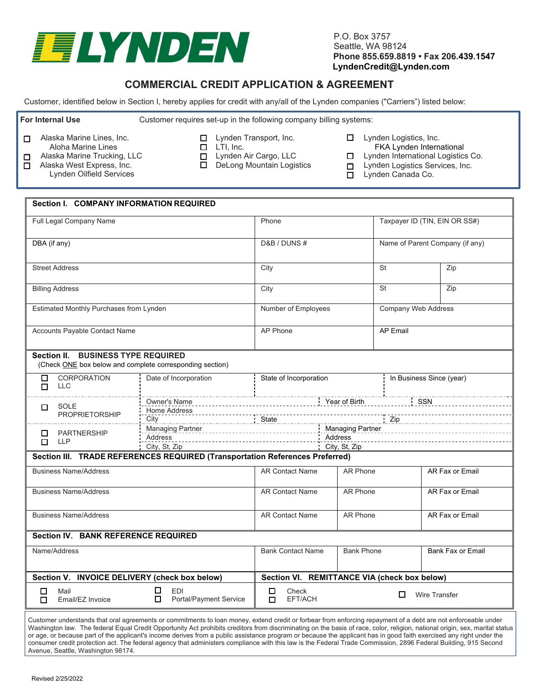

P.O. Box 3757 Seattle, WA 98124 **Phone 855.659.8819 • Fax 206.439.1547 LyndenCredit@Lynden.com**

## **COMMERCIAL CREDIT APPLICATION & AGREEMENT**

Customer, identified below in Section I, hereby applies for credit with any/all of the Lynden companies ("Carriers") listed below:

**For Internal Use** Customer requires set-up in the following company billing systems:

- □ Alaska Marine Lines, Inc.
	- Aloha Marine Lines

**Section I. COMPANY INFORMATION REQUIRED**

- □ Alaska Marine Trucking, LLC  $\overline{\Box}$  Alaska West Express, Inc.
	- Lynden Oilfield Services

- □ Lynden Transport, Inc.
- □ LTI, Inc.

□ Lynden Air Cargo, LLC

□ DeLong Mountain Logistics

- □ Lynden Logistics, Inc.
	- FKA Lynden International
- □ Lynden International Logistics Co.
- □ Lynden Logistics Services, Inc.
- □ Lynden Canada Co.

| Section I. COMPANY INFORMATION REQUIRED                                                                                                                                                                                                                                                                                                                                                         |                                                |                                                                     |                               |                                 |                          |  |  |  |  |
|-------------------------------------------------------------------------------------------------------------------------------------------------------------------------------------------------------------------------------------------------------------------------------------------------------------------------------------------------------------------------------------------------|------------------------------------------------|---------------------------------------------------------------------|-------------------------------|---------------------------------|--------------------------|--|--|--|--|
| Full Legal Company Name                                                                                                                                                                                                                                                                                                                                                                         | Phone                                          |                                                                     | Taxpayer ID (TIN, EIN OR SS#) |                                 |                          |  |  |  |  |
| DBA (if any)                                                                                                                                                                                                                                                                                                                                                                                    |                                                | D&B / DUNS #                                                        |                               | Name of Parent Company (if any) |                          |  |  |  |  |
| <b>Street Address</b>                                                                                                                                                                                                                                                                                                                                                                           |                                                | City                                                                |                               | <b>St</b>                       | Zip                      |  |  |  |  |
| <b>Billing Address</b>                                                                                                                                                                                                                                                                                                                                                                          | City                                           |                                                                     | <b>St</b>                     | Zip                             |                          |  |  |  |  |
| Estimated Monthly Purchases from Lynden                                                                                                                                                                                                                                                                                                                                                         | Number of Employees                            |                                                                     | Company Web Address           |                                 |                          |  |  |  |  |
| Accounts Payable Contact Name                                                                                                                                                                                                                                                                                                                                                                   | AP Phone                                       | <b>AP Email</b>                                                     |                               |                                 |                          |  |  |  |  |
| Section II. BUSINESS TYPE REQUIRED<br>(Check ONE box below and complete corresponding section)                                                                                                                                                                                                                                                                                                  |                                                |                                                                     |                               |                                 |                          |  |  |  |  |
| <b>CORPORATION</b><br>□<br><b>LLC</b><br>$\Box$                                                                                                                                                                                                                                                                                                                                                 | Date of Incorporation                          | State of Incorporation                                              |                               |                                 | In Business Since (year) |  |  |  |  |
| SOLE<br>0<br><b>PROPRIETORSHIP</b>                                                                                                                                                                                                                                                                                                                                                              | <b>Home Address</b><br>City                    |                                                                     |                               |                                 |                          |  |  |  |  |
| $\Box$<br><b>PARTNERSHIP</b><br><b>LLP</b><br>П.                                                                                                                                                                                                                                                                                                                                                | Address<br>City, St, Zip                       | Managing Partner Managing Partner Managing Partner<br>City, St, Zip |                               |                                 |                          |  |  |  |  |
| Section III. TRADE REFERENCES REQUIRED (Transportation References Preferred)                                                                                                                                                                                                                                                                                                                    |                                                |                                                                     |                               |                                 |                          |  |  |  |  |
| <b>Business Name/Address</b>                                                                                                                                                                                                                                                                                                                                                                    |                                                | <b>AR Contact Name</b>                                              | AR Phone                      |                                 | AR Fax or Email          |  |  |  |  |
| <b>Business Name/Address</b>                                                                                                                                                                                                                                                                                                                                                                    | <b>AR Contact Name</b>                         | AR Phone                                                            |                               | AR Fax or Email                 |                          |  |  |  |  |
| <b>Business Name/Address</b>                                                                                                                                                                                                                                                                                                                                                                    | <b>AR Contact Name</b>                         | AR Phone                                                            |                               | AR Fax or Email                 |                          |  |  |  |  |
| <b>Section IV. BANK REFERENCE REQUIRED</b>                                                                                                                                                                                                                                                                                                                                                      |                                                |                                                                     |                               |                                 |                          |  |  |  |  |
| Name/Address                                                                                                                                                                                                                                                                                                                                                                                    | <b>Bank Contact Name</b>                       | <b>Bank Phone</b>                                                   |                               | <b>Bank Fax or Email</b>        |                          |  |  |  |  |
| Section V. INVOICE DELIVERY (check box below)                                                                                                                                                                                                                                                                                                                                                   |                                                | Section VI. REMITTANCE VIA (check box below)                        |                               |                                 |                          |  |  |  |  |
| □<br>Mail<br>Email/EZ Invoice<br>п                                                                                                                                                                                                                                                                                                                                                              | □<br><b>EDI</b><br>Portal/Payment Service<br>□ | Check<br>□<br>EFT/ACH<br>П                                          | □<br><b>Wire Transfer</b>     |                                 |                          |  |  |  |  |
| Customer understands that oral agreements or commitments to loan money, extend credit or forbear from enforcing repayment of a debt are not enforceable under<br>Mechinates letter The federal Fattel Quadit Quadit in Actividate from discussion discussion the period of reaction active indicate active at existence of the contract of the second collection of the contract of the contrac |                                                |                                                                     |                               |                                 |                          |  |  |  |  |

Washington law. The federal Equal Credit Opportunity Act prohibits creditors from discriminating on the basis of race, color, religion, national origin, sex, marital status or age, or because part of the applicant's income derives from a public assistance program or because the applicant has in good faith exercised any right under the consumer credit protection act. The federal agency that administers compliance with this law is the Federal Trade Commission, 2896 Federal Building, 915 Second Avenue, Seattle, Washington 98174.